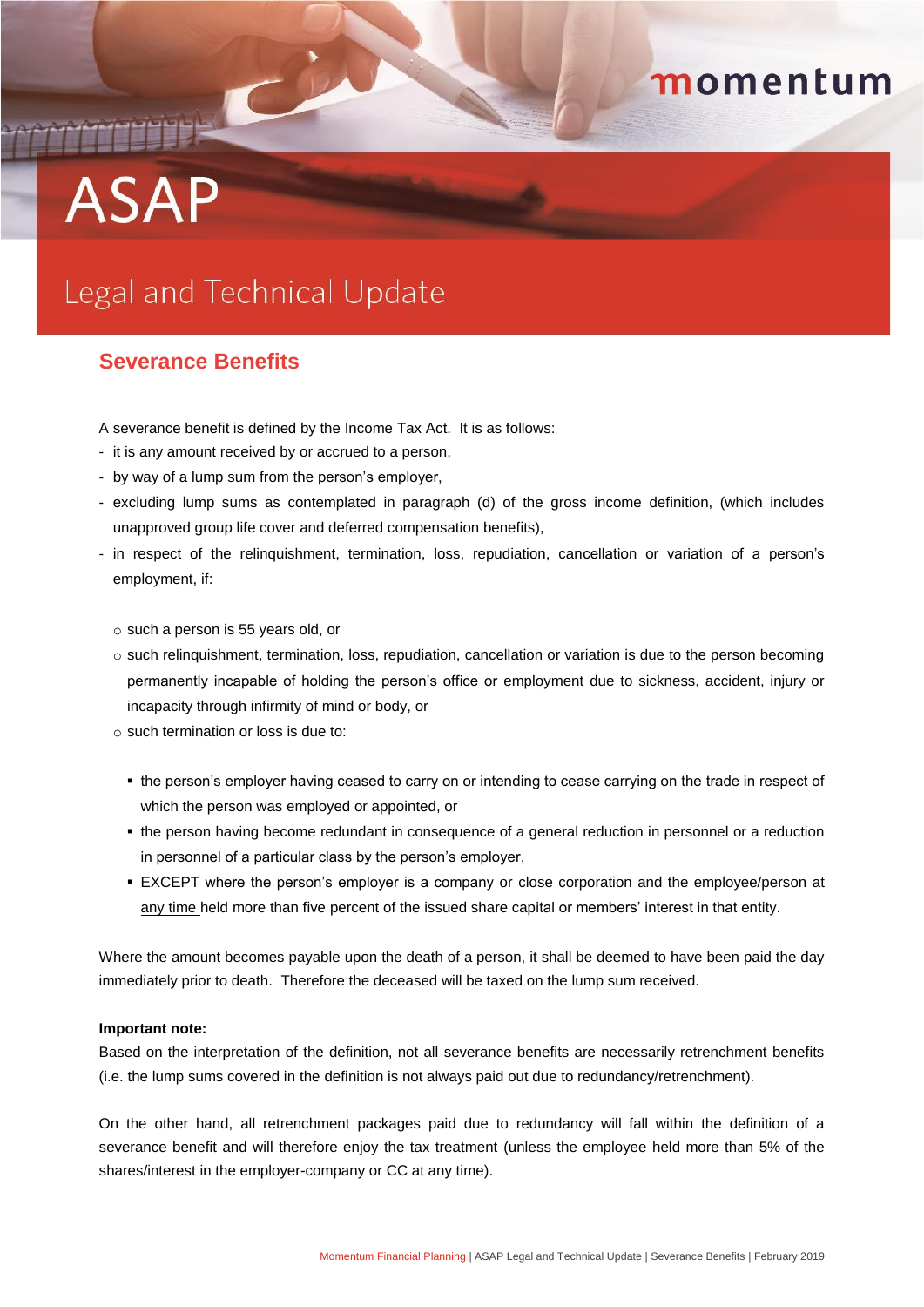# **ASAP**

## momentum

## Legal and Technical Update

### **Severance Benefits**

A severance benefit is defined by the Income Tax Act. It is as follows:

- it is any amount received by or accrued to a person,
- by way of a lump sum from the person's employer,
- excluding lump sums as contemplated in paragraph (d) of the gross income definition, (which includes unapproved group life cover and deferred compensation benefits),
- in respect of the relinquishment, termination, loss, repudiation, cancellation or variation of a person's employment, if:
	- o such a person is 55 years old, or
	- o such relinquishment, termination, loss, repudiation, cancellation or variation is due to the person becoming permanently incapable of holding the person's office or employment due to sickness, accident, injury or incapacity through infirmity of mind or body, or
	- o such termination or loss is due to:
		- the person's employer having ceased to carry on or intending to cease carrying on the trade in respect of which the person was employed or appointed, or
		- the person having become redundant in consequence of a general reduction in personnel or a reduction in personnel of a particular class by the person's employer,
		- EXCEPT where the person's employer is a company or close corporation and the employee/person at any time held more than five percent of the issued share capital or members' interest in that entity.

Where the amount becomes payable upon the death of a person, it shall be deemed to have been paid the day immediately prior to death. Therefore the deceased will be taxed on the lump sum received.

#### **Important note:**

Based on the interpretation of the definition, not all severance benefits are necessarily retrenchment benefits (i.e. the lump sums covered in the definition is not always paid out due to redundancy/retrenchment).

On the other hand, all retrenchment packages paid due to redundancy will fall within the definition of a severance benefit and will therefore enjoy the tax treatment (unless the employee held more than 5% of the shares/interest in the employer-company or CC at any time).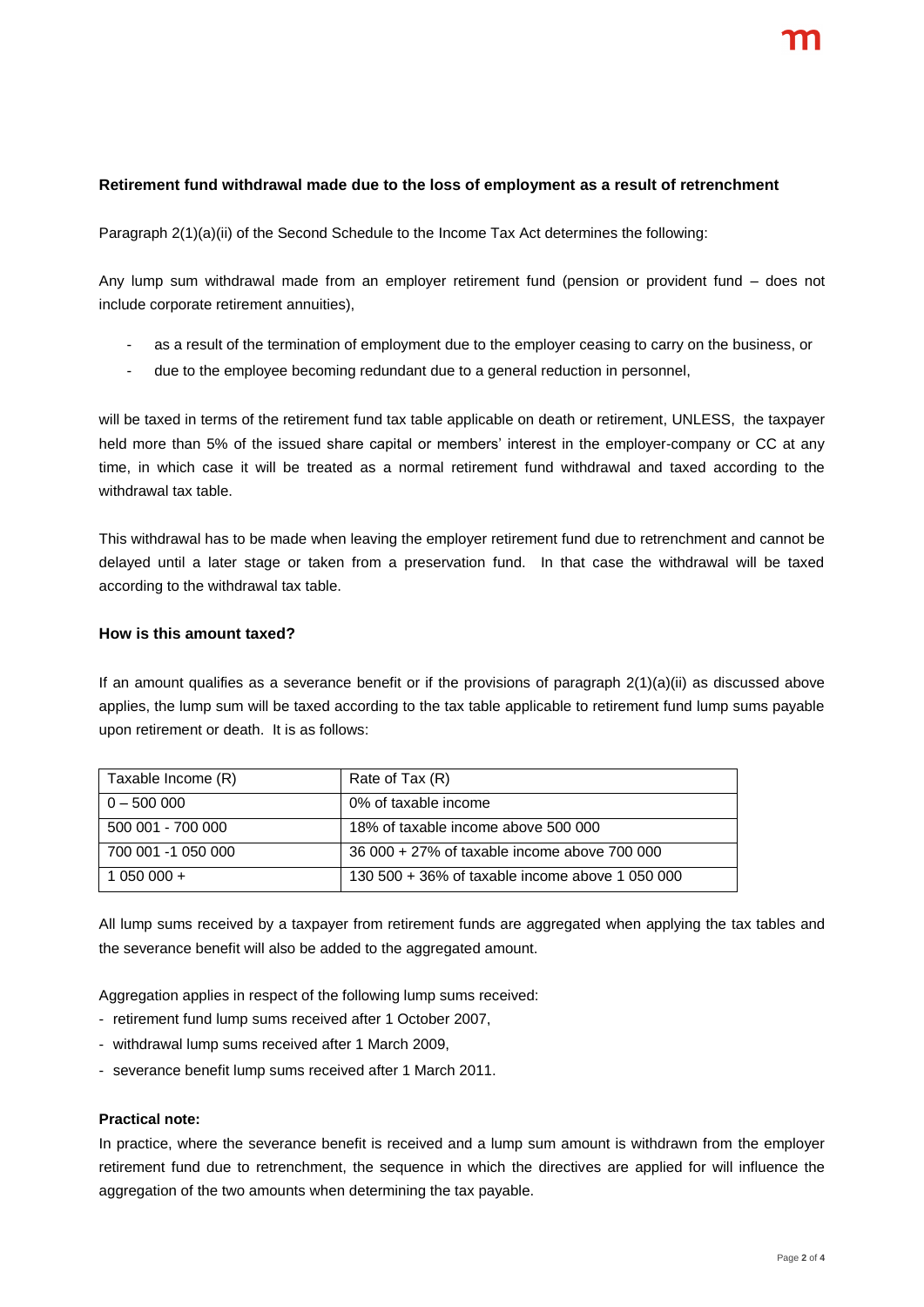#### **Retirement fund withdrawal made due to the loss of employment as a result of retrenchment**

Paragraph 2(1)(a)(ii) of the Second Schedule to the Income Tax Act determines the following:

Any lump sum withdrawal made from an employer retirement fund (pension or provident fund – does not include corporate retirement annuities),

- as a result of the termination of employment due to the employer ceasing to carry on the business, or
- due to the employee becoming redundant due to a general reduction in personnel,

will be taxed in terms of the retirement fund tax table applicable on death or retirement, UNLESS, the taxpayer held more than 5% of the issued share capital or members' interest in the employer-company or CC at any time, in which case it will be treated as a normal retirement fund withdrawal and taxed according to the withdrawal tax table.

This withdrawal has to be made when leaving the employer retirement fund due to retrenchment and cannot be delayed until a later stage or taken from a preservation fund. In that case the withdrawal will be taxed according to the withdrawal tax table.

#### **How is this amount taxed?**

If an amount qualifies as a severance benefit or if the provisions of paragraph 2(1)(a)(ii) as discussed above applies, the lump sum will be taxed according to the tax table applicable to retirement fund lump sums payable upon retirement or death. It is as follows:

| Taxable Income (R) | Rate of Tax (R)                                 |
|--------------------|-------------------------------------------------|
| $0 - 500000$       | 0% of taxable income                            |
| 500 001 - 700 000  | 18% of taxable income above 500 000             |
| 700 001 -1 050 000 | 36 000 + 27% of taxable income above 700 000    |
| $105000 +$         | 130 500 + 36% of taxable income above 1 050 000 |

All lump sums received by a taxpayer from retirement funds are aggregated when applying the tax tables and the severance benefit will also be added to the aggregated amount.

Aggregation applies in respect of the following lump sums received:

- retirement fund lump sums received after 1 October 2007,
- withdrawal lump sums received after 1 March 2009,
- severance benefit lump sums received after 1 March 2011.

#### **Practical note:**

In practice, where the severance benefit is received and a lump sum amount is withdrawn from the employer retirement fund due to retrenchment, the sequence in which the directives are applied for will influence the aggregation of the two amounts when determining the tax payable.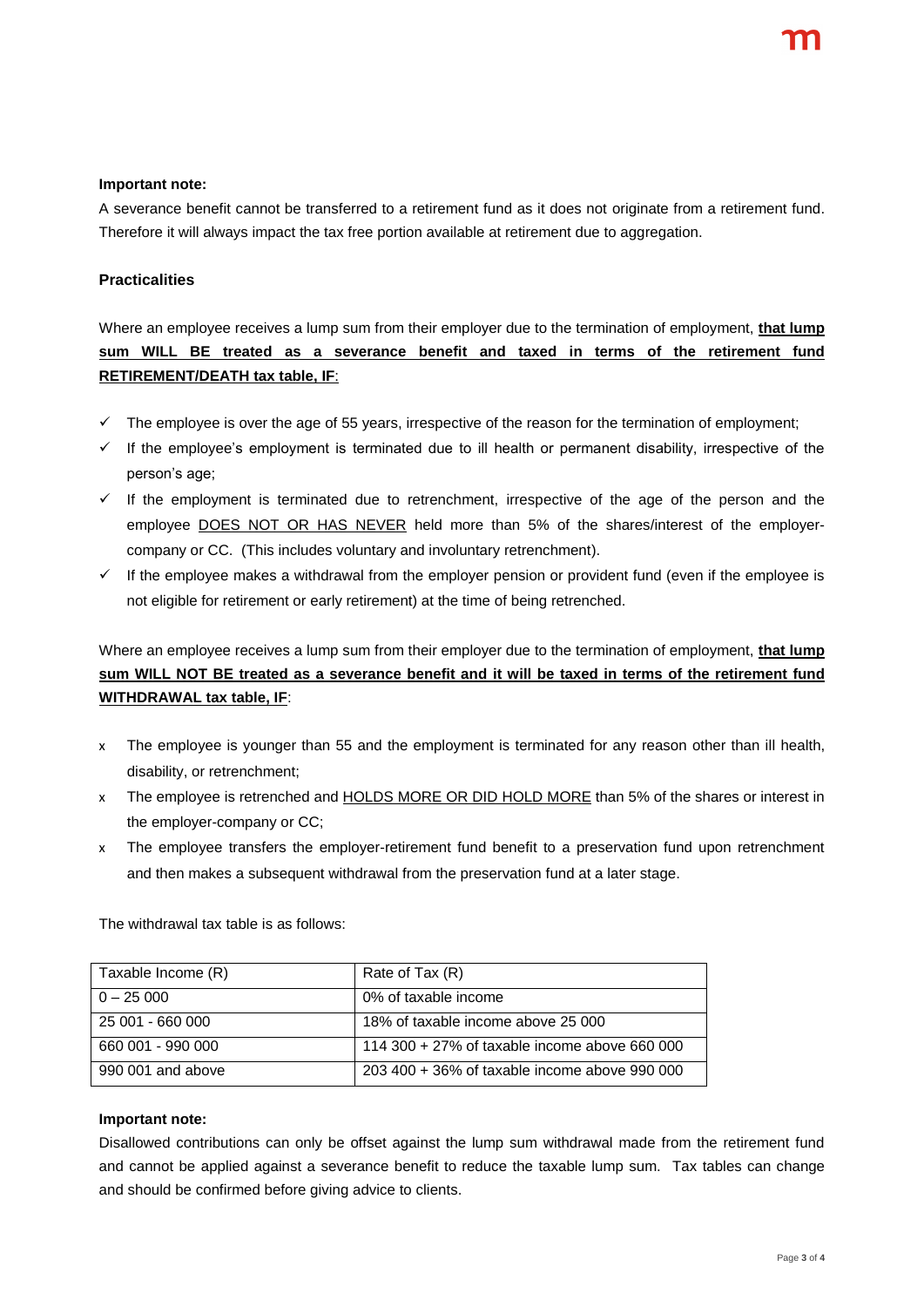#### **Important note:**

A severance benefit cannot be transferred to a retirement fund as it does not originate from a retirement fund. Therefore it will always impact the tax free portion available at retirement due to aggregation.

#### **Practicalities**

Where an employee receives a lump sum from their employer due to the termination of employment, **that lump sum WILL BE treated as a severance benefit and taxed in terms of the retirement fund RETIREMENT/DEATH tax table, IF**:

- $\checkmark$  The employee is over the age of 55 years, irrespective of the reason for the termination of employment;
- $\checkmark$  If the employee's employment is terminated due to ill health or permanent disability, irrespective of the person's age;
- $\checkmark$  If the employment is terminated due to retrenchment, irrespective of the age of the person and the employee DOES NOT OR HAS NEVER held more than 5% of the shares/interest of the employercompany or CC. (This includes voluntary and involuntary retrenchment).
- $\checkmark$  If the employee makes a withdrawal from the employer pension or provident fund (even if the employee is not eligible for retirement or early retirement) at the time of being retrenched.

Where an employee receives a lump sum from their employer due to the termination of employment, **that lump sum WILL NOT BE treated as a severance benefit and it will be taxed in terms of the retirement fund WITHDRAWAL tax table, IF**:

- x The employee is younger than 55 and the employment is terminated for any reason other than ill health, disability, or retrenchment;
- x The employee is retrenched and HOLDS MORE OR DID HOLD MORE than 5% of the shares or interest in the employer-company or CC;
- x The employee transfers the employer-retirement fund benefit to a preservation fund upon retrenchment and then makes a subsequent withdrawal from the preservation fund at a later stage.

| Taxable Income (R) | Rate of Tax (R)                               |
|--------------------|-----------------------------------------------|
| $0 - 25000$        | 0% of taxable income                          |
| 25 001 - 660 000   | 18% of taxable income above 25 000            |
| 660 001 - 990 000  | 114 300 + 27% of taxable income above 660 000 |
| 990 001 and above  | 203 400 + 36% of taxable income above 990 000 |

The withdrawal tax table is as follows:

#### **Important note:**

Disallowed contributions can only be offset against the lump sum withdrawal made from the retirement fund and cannot be applied against a severance benefit to reduce the taxable lump sum. Tax tables can change and should be confirmed before giving advice to clients.